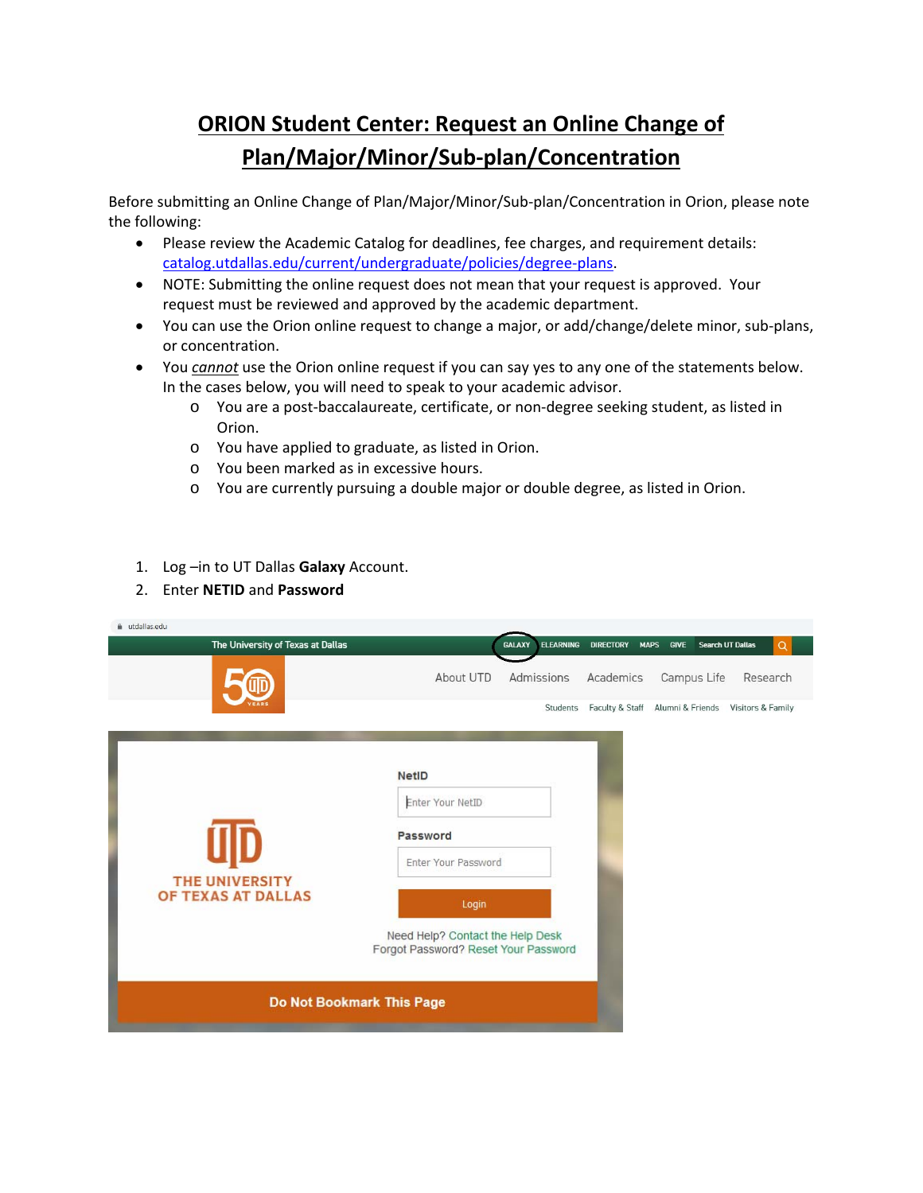## **ORION Student Center: Request an Online Change of Plan/Major/Minor/Sub‐plan/Concentration**

Before submitting an Online Change of Plan/Major/Minor/Sub‐plan/Concentration in Orion, please note the following:

- Please review the Academic Catalog for deadlines, fee charges, and requirement details: catalog.utdallas.edu/current/undergraduate/policies/degree‐plans.
- NOTE: Submitting the online request does not mean that your request is approved. Your request must be reviewed and approved by the academic department.
- You can use the Orion online request to change a major, or add/change/delete minor, sub-plans, or concentration.
- You *cannot* use the Orion online request if you can say yes to any one of the statements below. In the cases below, you will need to speak to your academic advisor.
	- o You are a post‐baccalaureate, certificate, or non‐degree seeking student, as listed in Orion.
	- o You have applied to graduate, as listed in Orion.
	- o You been marked as in excessive hours.
	- o You are currently pursuing a double major or double degree, as listed in Orion.
- 1. Log –in to UT Dallas **Galaxy** Account.
- 2. Enter **NETID** and **Password**

| i utdallas.edu                       |                                                                                                                                                          |
|--------------------------------------|----------------------------------------------------------------------------------------------------------------------------------------------------------|
| The University of Texas at Dallas    | <b>ELEARNING</b><br>Search UT Dallas<br><b>GALAXY</b><br><b>DIRECTORY</b><br><b>MAPS</b><br><b>GIVE</b><br>$\alpha$                                      |
|                                      | About UTD<br>Admissions<br>Campus Life<br>Academics<br>Research                                                                                          |
|                                      | Faculty & Staff Alumni & Friends Visitors & Family<br>Students                                                                                           |
| THE UNIVERSITY<br>OF TEXAS AT DALLAS | <b>NetID</b><br>Enter Your NetID<br>Password<br>Enter Your Password<br>Login<br>Need Help? Contact the Help Desk<br>Forgot Password? Reset Your Password |
| Do Not Bookmark This Page            |                                                                                                                                                          |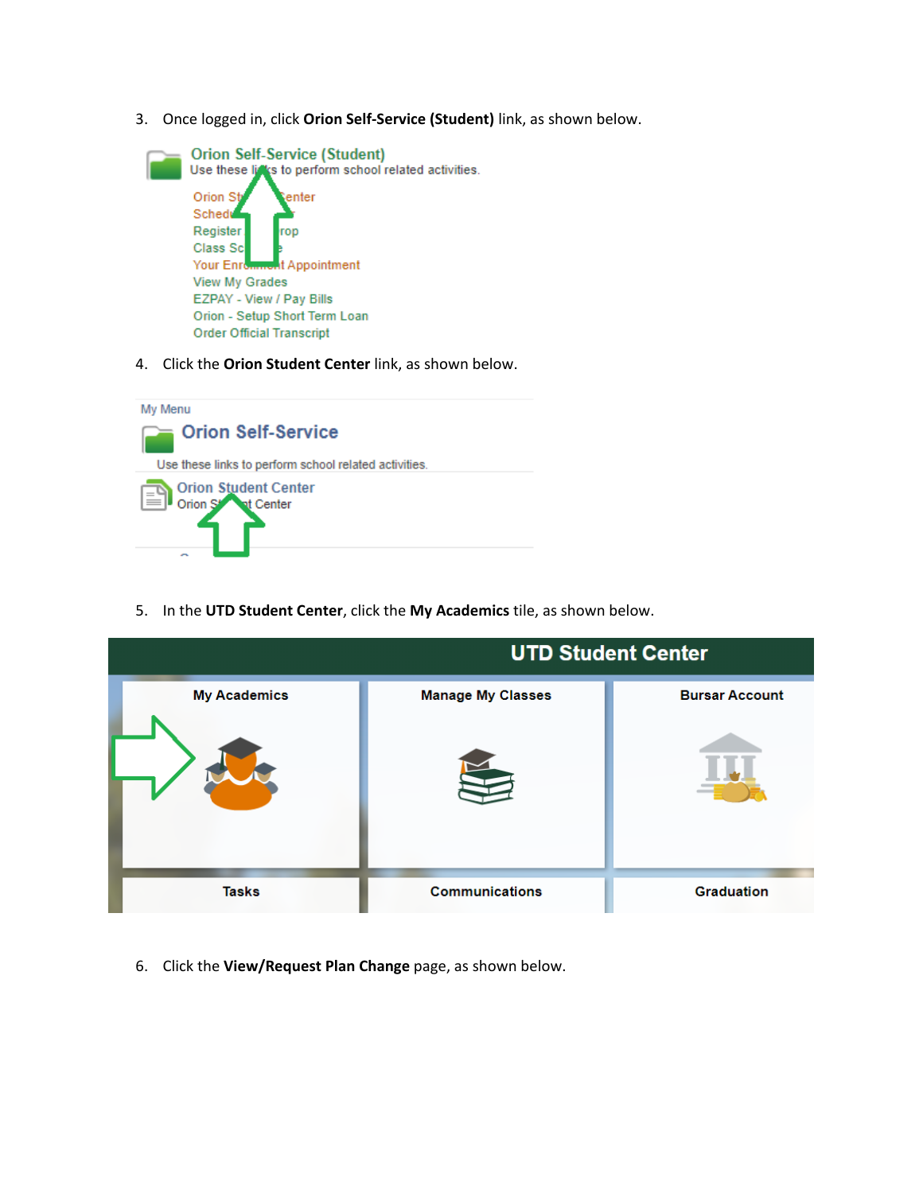3. Once logged in, click **Orion Self‐Service (Student)** link, as shown below.



4. Click the **Orion Student Center** link, as shown below.



5. In the **UTD Student Center**, click the **My Academics** tile, as shown below.



6. Click the **View/Request Plan Change** page, as shown below.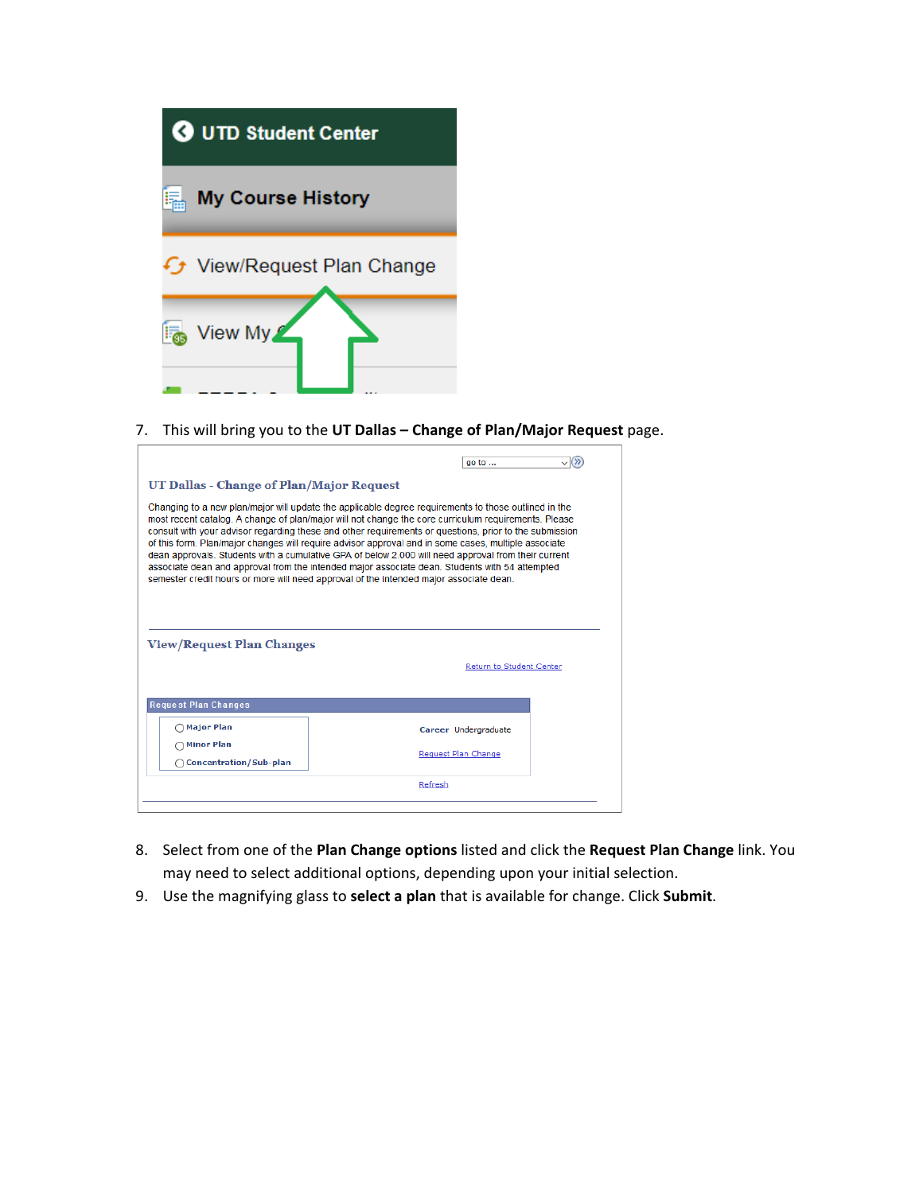

7. This will bring you to the **UT Dallas – Change of Plan/Major Request** page.

|                                                                                  | go to                                                                                                                                                                                                                                                                                                                                                                                                                                                                                                                                                                                                                                                                                                                             |  |
|----------------------------------------------------------------------------------|-----------------------------------------------------------------------------------------------------------------------------------------------------------------------------------------------------------------------------------------------------------------------------------------------------------------------------------------------------------------------------------------------------------------------------------------------------------------------------------------------------------------------------------------------------------------------------------------------------------------------------------------------------------------------------------------------------------------------------------|--|
| UT Dallas - Change of Plan/Major Request                                         |                                                                                                                                                                                                                                                                                                                                                                                                                                                                                                                                                                                                                                                                                                                                   |  |
|                                                                                  | Changing to a new plan/major will update the applicable degree requirements to those outlined in the<br>most recent catalog. A change of plan/major will not change the core curriculum requirements. Please<br>consult with your advisor regarding these and other requirements or questions, prior to the submission<br>of this form. Plan/major changes will require advisor approval and in some cases, multiple associate<br>dean approvals. Students with a cumulative GPA of below 2.000 will need approval from their current<br>associate dean and approval from the intended major associate dean. Students with 54 attempted<br>semester credit hours or more will need approval of the intended major associate dean. |  |
|                                                                                  |                                                                                                                                                                                                                                                                                                                                                                                                                                                                                                                                                                                                                                                                                                                                   |  |
|                                                                                  | Return to Student Center                                                                                                                                                                                                                                                                                                                                                                                                                                                                                                                                                                                                                                                                                                          |  |
| <b>Request Plan Changes</b>                                                      |                                                                                                                                                                                                                                                                                                                                                                                                                                                                                                                                                                                                                                                                                                                                   |  |
| ∩Major Plan                                                                      | Career Undergraduate                                                                                                                                                                                                                                                                                                                                                                                                                                                                                                                                                                                                                                                                                                              |  |
| <b>View/Request Plan Changes</b><br>∩Minor Plan<br><b>Concentration/Sub-plan</b> | Request Plan Change                                                                                                                                                                                                                                                                                                                                                                                                                                                                                                                                                                                                                                                                                                               |  |

- 8. Select from one of the **Plan Change options** listed and click the **Request Plan Change** link. You may need to select additional options, depending upon your initial selection.
- 9. Use the magnifying glass to **select a plan** that is available for change. Click **Submit**.